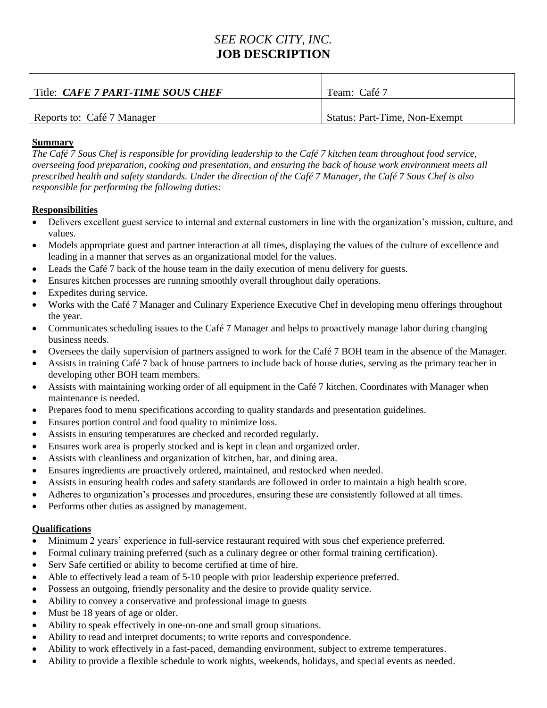## *SEE ROCK CITY, INC.* **JOB DESCRIPTION**

| Title: <i>CAFE 7 PART-TIME SOUS CHEF</i> | Team: Café 7                  |
|------------------------------------------|-------------------------------|
| Reports to: Café 7 Manager               | Status: Part-Time, Non-Exempt |

## **Summary**

*The Café 7 Sous Chef is responsible for providing leadership to the Café 7 kitchen team throughout food service, overseeing food preparation, cooking and presentation, and ensuring the back of house work environment meets all prescribed health and safety standards. Under the direction of the Café 7 Manager, the Café 7 Sous Chef is also responsible for performing the following duties:*

## **Responsibilities**

- Delivers excellent guest service to internal and external customers in line with the organization's mission, culture, and values.
- Models appropriate guest and partner interaction at all times, displaying the values of the culture of excellence and leading in a manner that serves as an organizational model for the values.
- Leads the Café 7 back of the house team in the daily execution of menu delivery for guests.
- Ensures kitchen processes are running smoothly overall throughout daily operations.
- Expedites during service.
- Works with the Café 7 Manager and Culinary Experience Executive Chef in developing menu offerings throughout the year.
- Communicates scheduling issues to the Café 7 Manager and helps to proactively manage labor during changing business needs.
- Oversees the daily supervision of partners assigned to work for the Café 7 BOH team in the absence of the Manager.
- Assists in training Café 7 back of house partners to include back of house duties, serving as the primary teacher in developing other BOH team members.
- Assists with maintaining working order of all equipment in the Café 7 kitchen. Coordinates with Manager when maintenance is needed.
- Prepares food to menu specifications according to quality standards and presentation guidelines.
- Ensures portion control and food quality to minimize loss.
- Assists in ensuring temperatures are checked and recorded regularly.
- Ensures work area is properly stocked and is kept in clean and organized order.
- Assists with cleanliness and organization of kitchen, bar, and dining area.
- Ensures ingredients are proactively ordered, maintained, and restocked when needed.
- Assists in ensuring health codes and safety standards are followed in order to maintain a high health score.
- Adheres to organization's processes and procedures, ensuring these are consistently followed at all times.
- Performs other duties as assigned by management.

## **Qualifications**

- Minimum 2 years' experience in full-service restaurant required with sous chef experience preferred.
- Formal culinary training preferred (such as a culinary degree or other formal training certification).
- Serv Safe certified or ability to become certified at time of hire.
- Able to effectively lead a team of 5-10 people with prior leadership experience preferred.
- Possess an outgoing, friendly personality and the desire to provide quality service.
- Ability to convey a conservative and professional image to guests
- Must be 18 years of age or older.
- Ability to speak effectively in one-on-one and small group situations.
- Ability to read and interpret documents; to write reports and correspondence.
- Ability to work effectively in a fast-paced, demanding environment, subject to extreme temperatures.
- Ability to provide a flexible schedule to work nights, weekends, holidays, and special events as needed.